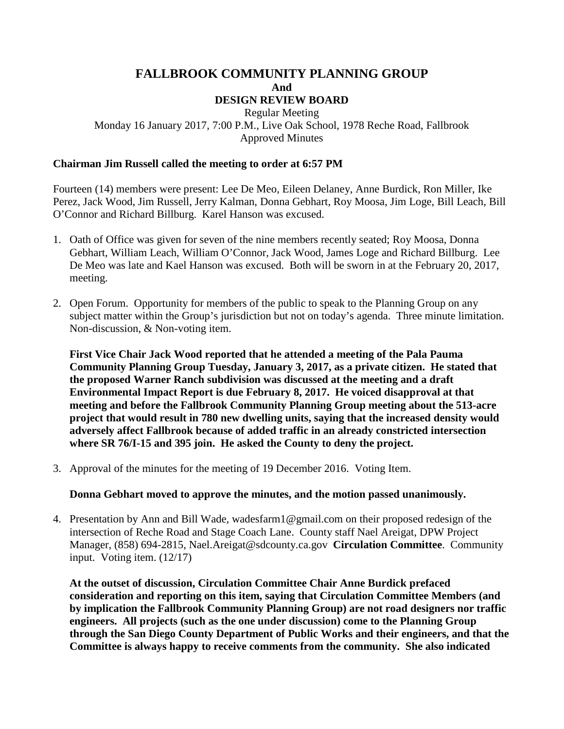# **FALLBROOK COMMUNITY PLANNING GROUP And DESIGN REVIEW BOARD**

### Regular Meeting Monday 16 January 2017, 7:00 P.M., Live Oak School, 1978 Reche Road, Fallbrook Approved Minutes

### **Chairman Jim Russell called the meeting to order at 6:57 PM**

Fourteen (14) members were present: Lee De Meo, Eileen Delaney, Anne Burdick, Ron Miller, Ike Perez, Jack Wood, Jim Russell, Jerry Kalman, Donna Gebhart, Roy Moosa, Jim Loge, Bill Leach, Bill O'Connor and Richard Billburg. Karel Hanson was excused.

- 1. Oath of Office was given for seven of the nine members recently seated; Roy Moosa, Donna Gebhart, William Leach, William O'Connor, Jack Wood, James Loge and Richard Billburg. Lee De Meo was late and Kael Hanson was excused. Both will be sworn in at the February 20, 2017, meeting.
- 2. Open Forum. Opportunity for members of the public to speak to the Planning Group on any subject matter within the Group's jurisdiction but not on today's agenda. Three minute limitation. Non-discussion, & Non-voting item.

**First Vice Chair Jack Wood reported that he attended a meeting of the Pala Pauma Community Planning Group Tuesday, January 3, 2017, as a private citizen. He stated that the proposed Warner Ranch subdivision was discussed at the meeting and a draft Environmental Impact Report is due February 8, 2017. He voiced disapproval at that meeting and before the Fallbrook Community Planning Group meeting about the 513-acre project that would result in 780 new dwelling units, saying that the increased density would adversely affect Fallbrook because of added traffic in an already constricted intersection where SR 76/I-15 and 395 join. He asked the County to deny the project.**

3. Approval of the minutes for the meeting of 19 December 2016. Voting Item.

#### **Donna Gebhart moved to approve the minutes, and the motion passed unanimously.**

4. Presentation by Ann and Bill Wade, wadesfarm1@gmail.com on their proposed redesign of the intersection of Reche Road and Stage Coach Lane. County staff Nael Areigat, DPW Project Manager, (858) 694-2815, Nael.Areigat@sdcounty.ca.gov **Circulation Committee**. Community input. Voting item. (12/17)

**At the outset of discussion, Circulation Committee Chair Anne Burdick prefaced consideration and reporting on this item, saying that Circulation Committee Members (and by implication the Fallbrook Community Planning Group) are not road designers nor traffic engineers. All projects (such as the one under discussion) come to the Planning Group through the San Diego County Department of Public Works and their engineers, and that the Committee is always happy to receive comments from the community. She also indicated**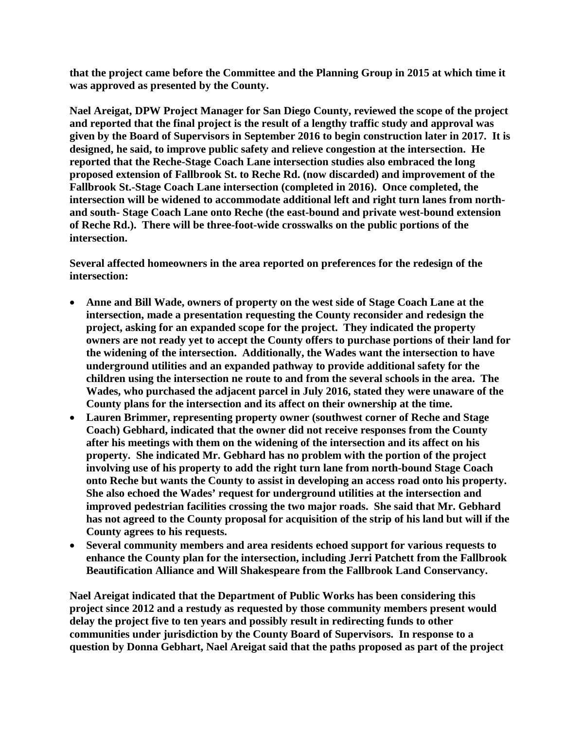**that the project came before the Committee and the Planning Group in 2015 at which time it was approved as presented by the County.**

**Nael Areigat, DPW Project Manager for San Diego County, reviewed the scope of the project and reported that the final project is the result of a lengthy traffic study and approval was given by the Board of Supervisors in September 2016 to begin construction later in 2017. It is designed, he said, to improve public safety and relieve congestion at the intersection. He reported that the Reche-Stage Coach Lane intersection studies also embraced the long proposed extension of Fallbrook St. to Reche Rd. (now discarded) and improvement of the Fallbrook St.-Stage Coach Lane intersection (completed in 2016). Once completed, the intersection will be widened to accommodate additional left and right turn lanes from northand south- Stage Coach Lane onto Reche (the east-bound and private west-bound extension of Reche Rd.). There will be three-foot-wide crosswalks on the public portions of the intersection.** 

**Several affected homeowners in the area reported on preferences for the redesign of the intersection:** 

- **Anne and Bill Wade, owners of property on the west side of Stage Coach Lane at the intersection, made a presentation requesting the County reconsider and redesign the project, asking for an expanded scope for the project. They indicated the property owners are not ready yet to accept the County offers to purchase portions of their land for the widening of the intersection. Additionally, the Wades want the intersection to have underground utilities and an expanded pathway to provide additional safety for the children using the intersection ne route to and from the several schools in the area. The Wades, who purchased the adjacent parcel in July 2016, stated they were unaware of the County plans for the intersection and its affect on their ownership at the time.**
- **Lauren Brimmer, representing property owner (southwest corner of Reche and Stage Coach) Gebhard, indicated that the owner did not receive responses from the County after his meetings with them on the widening of the intersection and its affect on his property. She indicated Mr. Gebhard has no problem with the portion of the project involving use of his property to add the right turn lane from north-bound Stage Coach onto Reche but wants the County to assist in developing an access road onto his property. She also echoed the Wades' request for underground utilities at the intersection and improved pedestrian facilities crossing the two major roads. She said that Mr. Gebhard has not agreed to the County proposal for acquisition of the strip of his land but will if the County agrees to his requests.**
- **Several community members and area residents echoed support for various requests to enhance the County plan for the intersection, including Jerri Patchett from the Fallbrook Beautification Alliance and Will Shakespeare from the Fallbrook Land Conservancy.**

**Nael Areigat indicated that the Department of Public Works has been considering this project since 2012 and a restudy as requested by those community members present would delay the project five to ten years and possibly result in redirecting funds to other communities under jurisdiction by the County Board of Supervisors. In response to a question by Donna Gebhart, Nael Areigat said that the paths proposed as part of the project**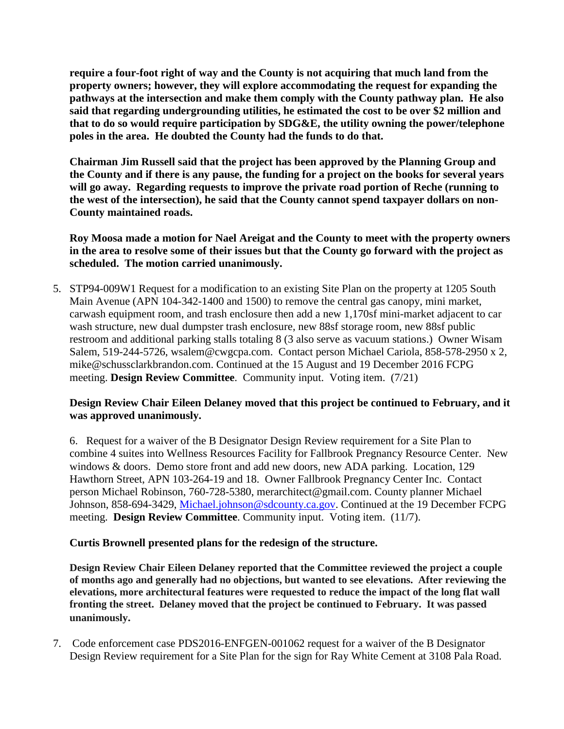**require a four-foot right of way and the County is not acquiring that much land from the property owners; however, they will explore accommodating the request for expanding the pathways at the intersection and make them comply with the County pathway plan. He also said that regarding undergrounding utilities, he estimated the cost to be over \$2 million and that to do so would require participation by SDG&E, the utility owning the power/telephone poles in the area. He doubted the County had the funds to do that.**

**Chairman Jim Russell said that the project has been approved by the Planning Group and the County and if there is any pause, the funding for a project on the books for several years will go away. Regarding requests to improve the private road portion of Reche (running to the west of the intersection), he said that the County cannot spend taxpayer dollars on non-County maintained roads.**

**Roy Moosa made a motion for Nael Areigat and the County to meet with the property owners in the area to resolve some of their issues but that the County go forward with the project as scheduled. The motion carried unanimously.**

5. STP94-009W1 Request for a modification to an existing Site Plan on the property at 1205 South Main Avenue (APN 104-342-1400 and 1500) to remove the central gas canopy, mini market, carwash equipment room, and trash enclosure then add a new 1,170sf mini-market adjacent to car wash structure, new dual dumpster trash enclosure, new 88sf storage room, new 88sf public restroom and additional parking stalls totaling 8 (3 also serve as vacuum stations.) Owner Wisam Salem, 519-244-5726, wsalem@cwgcpa.com. Contact person Michael Cariola, 858-578-2950 x 2, mike@schussclarkbrandon.com. Continued at the 15 August and 19 December 2016 FCPG meeting. **Design Review Committee**. Community input. Voting item. (7/21)

# **Design Review Chair Eileen Delaney moved that this project be continued to February, and it was approved unanimously.**

6. Request for a waiver of the B Designator Design Review requirement for a Site Plan to combine 4 suites into Wellness Resources Facility for Fallbrook Pregnancy Resource Center. New windows & doors. Demo store front and add new doors, new ADA parking. Location, 129 Hawthorn Street, APN 103-264-19 and 18. Owner Fallbrook Pregnancy Center Inc. Contact person Michael Robinson, 760-728-5380, merarchitect@gmail.com. County planner Michael Johnson, 858-694-3429, [Michael.johnson@sdcounty.ca.gov.](mailto:Michael.johnson@sdcounty.ca.gov) Continued at the 19 December FCPG meeting. **Design Review Committee**. Community input. Voting item. (11/7).

# **Curtis Brownell presented plans for the redesign of the structure.**

**Design Review Chair Eileen Delaney reported that the Committee reviewed the project a couple of months ago and generally had no objections, but wanted to see elevations. After reviewing the elevations, more architectural features were requested to reduce the impact of the long flat wall fronting the street. Delaney moved that the project be continued to February. It was passed unanimously.**

7. Code enforcement case PDS2016-ENFGEN-001062 request for a waiver of the B Designator Design Review requirement for a Site Plan for the sign for Ray White Cement at 3108 Pala Road.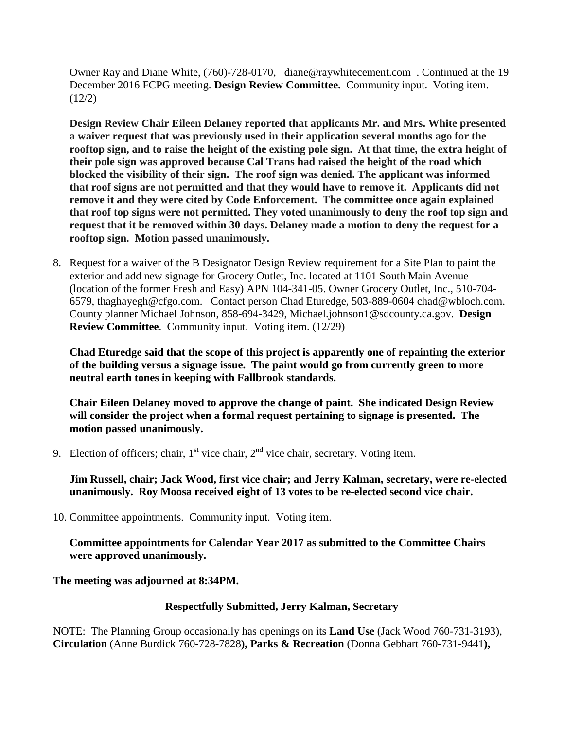Owner Ray and Diane White, (760)-728-0170, diane@raywhitecement.com . Continued at the 19 December 2016 FCPG meeting. **Design Review Committee.** Community input. Voting item.  $(12/2)$ 

**Design Review Chair Eileen Delaney reported that applicants Mr. and Mrs. White presented a waiver request that was previously used in their application several months ago for the rooftop sign, and to raise the height of the existing pole sign. At that time, the extra height of their pole sign was approved because Cal Trans had raised the height of the road which blocked the visibility of their sign. The roof sign was denied. The applicant was informed that roof signs are not permitted and that they would have to remove it. Applicants did not remove it and they were cited by Code Enforcement. The committee once again explained that roof top signs were not permitted. They voted unanimously to deny the roof top sign and request that it be removed within 30 days. Delaney made a motion to deny the request for a rooftop sign. Motion passed unanimously.**

8. Request for a waiver of the B Designator Design Review requirement for a Site Plan to paint the exterior and add new signage for Grocery Outlet, Inc. located at 1101 South Main Avenue (location of the former Fresh and Easy) APN 104-341-05. Owner Grocery Outlet, Inc., 510-704- 6579, thaghayegh@cfgo.com. Contact person Chad Eturedge, 503-889-0604 chad@wbloch.com. County planner Michael Johnson, 858-694-3429, Michael.johnson1@sdcounty.ca.gov. **Design Review Committee**. Community input. Voting item. (12/29)

**Chad Eturedge said that the scope of this project is apparently one of repainting the exterior of the building versus a signage issue. The paint would go from currently green to more neutral earth tones in keeping with Fallbrook standards.** 

**Chair Eileen Delaney moved to approve the change of paint. She indicated Design Review will consider the project when a formal request pertaining to signage is presented. The motion passed unanimously.**

9. Election of officers; chair,  $1<sup>st</sup>$  vice chair,  $2<sup>nd</sup>$  vice chair, secretary. Voting item.

**Jim Russell, chair; Jack Wood, first vice chair; and Jerry Kalman, secretary, were re-elected unanimously. Roy Moosa received eight of 13 votes to be re-elected second vice chair.**

10. Committee appointments. Community input. Voting item.

**Committee appointments for Calendar Year 2017 as submitted to the Committee Chairs were approved unanimously.**

**The meeting was adjourned at 8:34PM.**

# **Respectfully Submitted, Jerry Kalman, Secretary**

NOTE: The Planning Group occasionally has openings on its **Land Use** (Jack Wood 760-731-3193), **Circulation** (Anne Burdick 760-728-7828**), Parks & Recreation** (Donna Gebhart 760-731-9441**),**